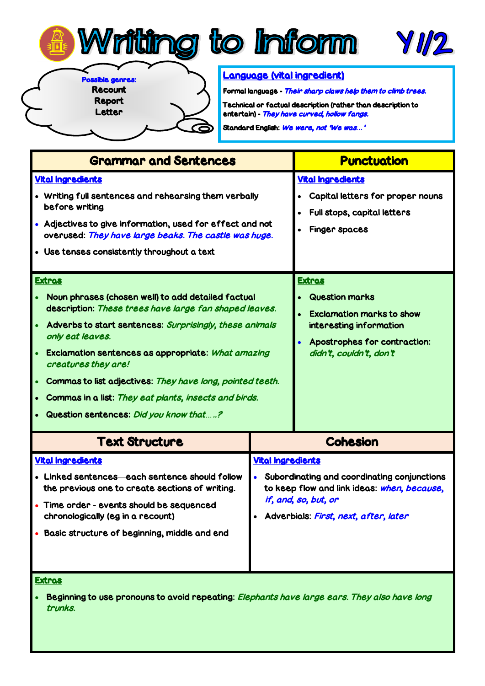

Possible genres: Recount Report

Letter

7

## Language (vital ingredient)

Formal language - Their sharp claws help them to climb trees. Technical or factual description (rather than description to entertain) - They have curved, hollow fangs.

YI/2

Standard English: We were, not 'We was*…*'

| <b>Grammar and Sentences</b>                                                                                                                                                                                                                                                                                                                                                                                                                              |                                                                                                                                                                                                      | <b>Punctuation</b>                                                                                                                                               |
|-----------------------------------------------------------------------------------------------------------------------------------------------------------------------------------------------------------------------------------------------------------------------------------------------------------------------------------------------------------------------------------------------------------------------------------------------------------|------------------------------------------------------------------------------------------------------------------------------------------------------------------------------------------------------|------------------------------------------------------------------------------------------------------------------------------------------------------------------|
| <b>Vital Ingredients</b><br>• Writing full sentences and rehearsing them verbally<br>before writing<br>• Adjectives to give information, used for effect and not<br>overused: They have large beaks. The castle was huge.<br>• Use tenses consistently throughout a text                                                                                                                                                                                  |                                                                                                                                                                                                      | <b>Vital Ingredients</b><br>Capital letters for proper nouns<br>Full stops, capital letters<br><b>Finger spaces</b>                                              |
| <b>Extras</b><br>Noun phrases (chosen well) to add detailed factual<br>description: These trees have large fan shaped leaves.<br>Adverbs to start sentences: Surprisingly, these animals<br>only eat leaves.<br>Exclamation sentences as appropriate: What amazing<br>creatures they are!<br>Commas to list adjectives: They have long, pointed teeth.<br>Commas in a list: They eat plants, insects and birds.<br>Question sentences: Did you know that? |                                                                                                                                                                                                      | <u>Extras</u><br><b>Question marks</b><br><b>Exclamation marks to show</b><br>interesting information<br>Apostrophes for contraction:<br>didn't, couldn't, don't |
| <b>Text Structure</b>                                                                                                                                                                                                                                                                                                                                                                                                                                     |                                                                                                                                                                                                      | <b>Cohesion</b>                                                                                                                                                  |
| <b>Vital Ingredients</b><br>• Linked sentences each sentence should follow<br>the previous one to create sections of writing.<br>Time order - events should be sequenced<br>chronologically (eg in a recount)<br>Basic structure of beginning, middle and end<br><b>Extras</b>                                                                                                                                                                            | <b>Vital Ingredients</b><br>Subordinating and coordinating conjunctions<br>$\bullet$<br>to keep flow and link ideas: when, because,<br>if, and, so, but, or<br>Adverbials: First, next, after, later |                                                                                                                                                                  |

Beginning to use pronouns to avoid repeating: Elephants have large ears. They also have long trunks.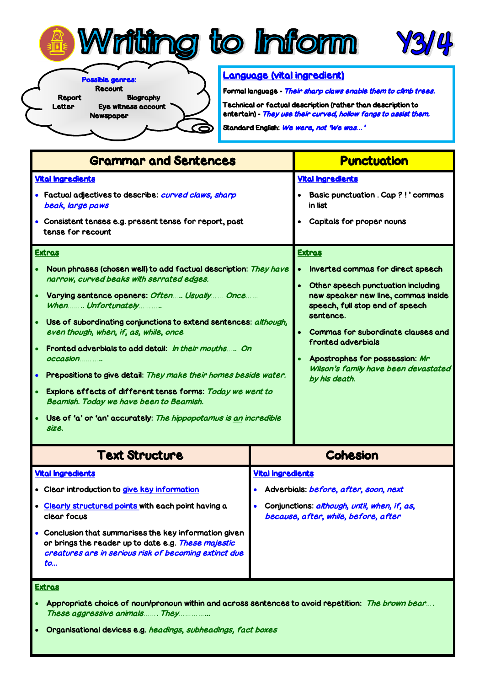





Possible genres:

Newspaper

Recount

Report Biography

Letter Eye witness account

## Language (vital ingredient)

Formal language - Their sharp claws enable them to climb trees.

Technical or factual description (rather than description to entertain) - They use their curved, hollow fangs to assist them.

Standard English: We were, not 'We was*…*'

| <b>Grammar and Sentences</b>                                                                                                                                                                                                                                                                                                                                                                                                                                                                                                                                                                                                                                                                                                                                                                                                          |                          | <b>Punctuation</b>                                                                                                                                                                                                                                                                                                                                                                                                                                      |
|---------------------------------------------------------------------------------------------------------------------------------------------------------------------------------------------------------------------------------------------------------------------------------------------------------------------------------------------------------------------------------------------------------------------------------------------------------------------------------------------------------------------------------------------------------------------------------------------------------------------------------------------------------------------------------------------------------------------------------------------------------------------------------------------------------------------------------------|--------------------------|---------------------------------------------------------------------------------------------------------------------------------------------------------------------------------------------------------------------------------------------------------------------------------------------------------------------------------------------------------------------------------------------------------------------------------------------------------|
| <b>Vital Ingredients</b><br>Factual adjectives to describe: curved claws, sharp<br>beak, large paws<br>Consistent tenses e.g. present tense for report, past<br>tense for recount<br><b>Extras</b><br>Noun phrases (chosen well) to add factual description: They have<br>narrow, curved beaks with serrated edges.<br>Varying sentence openers: Often Usually Once<br>When Unfortunately<br>Use of subordinating conjunctions to extend sentences: although,<br>even though, when, if, as, while, once<br>Fronted adverbials to add detail: In their mouths On<br>occasion<br>Prepositions to give detail: They make their homes beside water.<br>Explore effects of different tense forms: Today we went to<br>Beamish. Today we have been to Beamish.<br>Use of 'a' or 'an' accurately: The hippopotamus is an incredible<br>size. |                          | <b>Vital Ingredients</b><br><b>Basic punctuation . Cap ?!' commas</b><br>in list<br>Capitals for proper nouns<br><b>Extras</b><br>Inverted commas for direct speech<br>Other speech punctuation including<br>new speaker new line, commas inside<br>speech, full stop end of speech<br>sentence.<br>Commas for subordinate clauses and<br>fronted adverbials<br>Apostrophes for possession: Mr<br>Wilson's family have been devastated<br>by his death. |
|                                                                                                                                                                                                                                                                                                                                                                                                                                                                                                                                                                                                                                                                                                                                                                                                                                       |                          |                                                                                                                                                                                                                                                                                                                                                                                                                                                         |
| <b>Vital Ingredients</b><br>· Clear introduction to give key information<br>Clearly structured points with each point having a<br>clear focus<br>Conclusion that summarises the key information given<br>or brings the reader up to date e.g. These majestic<br>creatures are in serious risk of becoming extinct due<br>to                                                                                                                                                                                                                                                                                                                                                                                                                                                                                                           | <b>Vital Ingredients</b> | Adverbials: before, after, soon, next<br>Conjunctions: although, until, when, if, as,<br>because, after, while, before, after                                                                                                                                                                                                                                                                                                                           |

(T

Extras

- Appropriate choice of noun/pronoun within and across sentences to avoid repetition: The brown bear*…*. These aggressive animals*……*. They*…………*...
- Organisational devices e.g. headings, subheadings, fact boxes